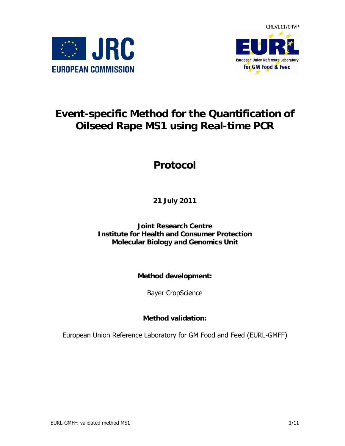



# **Event-specific Method for the Quantification of Oilseed Rape MS1 using Real-time PCR**

# **Protocol**

**21 July 2011** 

**Joint Research Centre Institute for Health and Consumer Protection Molecular Biology and Genomics Unit** 

**Method development:** 

Bayer CropScience

**Method validation:** 

European Union Reference Laboratory for GM Food and Feed (EURL-GMFF)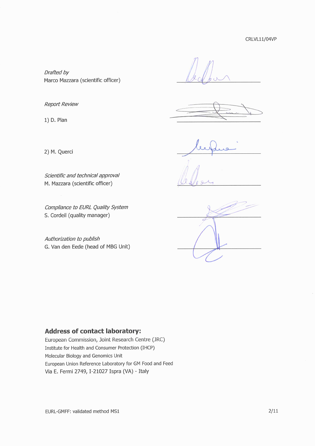Drafted by Marco Mazzara (scientific officer)

**Report Review** 

1) D. Plan

2) M. Querci

Scientific and technical approval M. Mazzara (scientific officer)

Compliance to EURL Quality System S. Cordeil (quality manager)

Authorization to publish G. Van den Eede (head of MBG Unit)

# **Address of contact laboratory:**

European Commission, Joint Research Centre (JRC) Institute for Health and Consumer Protection (IHCP) Molecular Biology and Genomics Unit European Union Reference Laboratory for GM Food and Feed Via E. Fermi 2749, I-21027 Ispra (VA) - Italy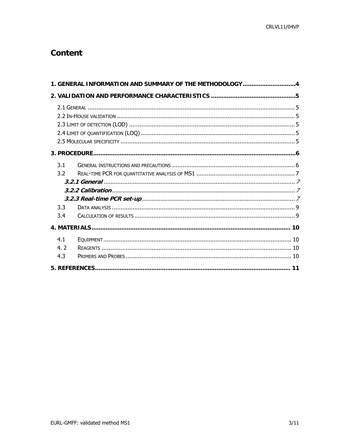# **Content**

|                          | 1. GENERAL INFORMATION AND SUMMARY OF THE METHODOLOGY4 |
|--------------------------|--------------------------------------------------------|
|                          |                                                        |
|                          |                                                        |
|                          |                                                        |
| 3.1<br>3.2<br>3.3<br>3.4 |                                                        |
|                          |                                                        |
| 4.1<br>4.2<br>4.3        |                                                        |
|                          |                                                        |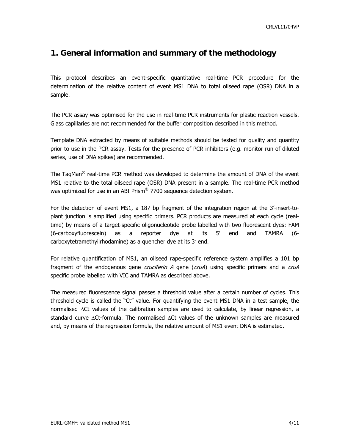# <span id="page-3-0"></span>**1. General information and summary of the methodology**

This protocol describes an event-specific quantitative real-time PCR procedure for the determination of the relative content of event MS1 DNA to total oilseed rape (OSR) DNA in a sample.

The PCR assay was optimised for the use in real-time PCR instruments for plastic reaction vessels. Glass capillaries are not recommended for the buffer composition described in this method.

Template DNA extracted by means of suitable methods should be tested for quality and quantity prior to use in the PCR assay. Tests for the presence of PCR inhibitors (e.g. monitor run of diluted series, use of DNA spikes) are recommended.

The TaqMan<sup>®</sup> real-time PCR method was developed to determine the amount of DNA of the event MS1 relative to the total oilseed rape (OSR) DNA present in a sample. The real-time PCR method was optimized for use in an ABI Prism® 7700 sequence detection system.

For the detection of event MS1, a 187 bp fragment of the integration region at the 3'-insert-toplant junction is amplified using specific primers. PCR products are measured at each cycle (realtime) by means of a target-specific oligonucleotide probe labelled with two fluorescent dyes: FAM (6-carboxyfluorescein) as a reporter dye at its 5' end and TAMRA (6 carboxytetramethyilrhodamine) as a quencher dye at its 3′ end.

For relative quantification of MS1, an oilseed rape-specific reference system amplifies a 101 bp fragment of the endogenous gene *cruciferin A* gene (*cruA*) using specific primers and a *cruA* specific probe labelled with VIC and TAMRA as described above.

The measured fluorescence signal passes a threshold value after a certain number of cycles. This threshold cycle is called the "Ct" value. For quantifying the event MS1 DNA in a test sample, the normalised ΔCt values of the calibration samples are used to calculate, by linear regression, a standard curve ΔCt-formula. The normalised ΔCt values of the unknown samples are measured and, by means of the regression formula, the relative amount of MS1 event DNA is estimated.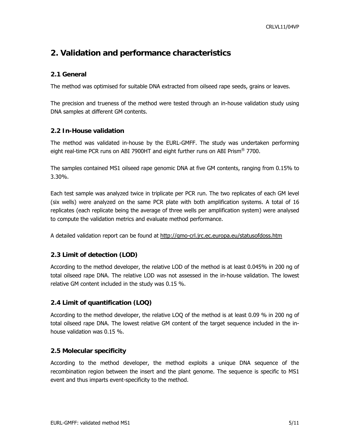# <span id="page-4-0"></span>**2. Validation and performance characteristics**

## **2.1 General**

The method was optimised for suitable DNA extracted from oilseed rape seeds, grains or leaves.

The precision and trueness of the method were tested through an in-house validation study using DNA samples at different GM contents.

## **2.2 In-House validation**

The method was validated in-house by the EURL-GMFF. The study was undertaken performing eight real-time PCR runs on ABI 7900HT and eight further runs on ABI Prism<sup>®</sup> 7700.

The samples contained MS1 oilseed rape genomic DNA at five GM contents, ranging from 0.15% to 3.30%.

Each test sample was analyzed twice in triplicate per PCR run. The two replicates of each GM level (six wells) were analyzed on the same PCR plate with both amplification systems. A total of 16 replicates (each replicate being the average of three wells per amplification system) were analysed to compute the validation metrics and evaluate method performance.

A detailed validation report can be found at <http://gmo-crl.jrc.ec.europa.eu/statusofdoss.htm>

# **2.3 Limit of detection (LOD)**

According to the method developer, the relative LOD of the method is at least 0.045% in 200 ng of total oilseed rape DNA. The relative LOD was not assessed in the in-house validation. The lowest relative GM content included in the study was 0.15 %.

# **2.4 Limit of quantification (LOQ)**

According to the method developer, the relative LOQ of the method is at least 0.09 % in 200 ng of total oilseed rape DNA. The lowest relative GM content of the target sequence included in the inhouse validation was 0.15 %.

#### **2.5 Molecular specificity**

According to the method developer, the method exploits a unique DNA sequence of the recombination region between the insert and the plant genome. The sequence is specific to MS1 event and thus imparts event-specificity to the method.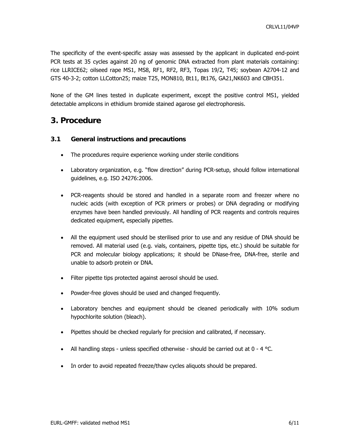<span id="page-5-0"></span>The specificity of the event-specific assay was assessed by the applicant in duplicated end-point PCR tests at 35 cycles against 20 ng of genomic DNA extracted from plant materials containing: rice LLRICE62; oilseed rape MS1, MS8, RF1, RF2, RF3, Topas 19/2, T45; soybean A2704-12 and GTS 40-3-2; cotton LLCotton25; maize T25, MON810, Bt11, Bt176, GA21,NK603 and CBH351.

None of the GM lines tested in duplicate experiment, except the positive control MS1, yielded detectable amplicons in ethidium bromide stained agarose gel electrophoresis.

# **3. Procedure**

## **3.1 General instructions and precautions**

- The procedures require experience working under sterile conditions
- Laboratory organization, e.g. "flow direction" during PCR-setup, should follow international guidelines, e.g. ISO 24276:2006.
- PCR-reagents should be stored and handled in a separate room and freezer where no nucleic acids (with exception of PCR primers or probes) or DNA degrading or modifying enzymes have been handled previously. All handling of PCR reagents and controls requires dedicated equipment, especially pipettes.
- All the equipment used should be sterilised prior to use and any residue of DNA should be removed. All material used (e.g. vials, containers, pipette tips, etc.) should be suitable for PCR and molecular biology applications; it should be DNase-free, DNA-free, sterile and unable to adsorb protein or DNA.
- Filter pipette tips protected against aerosol should be used.
- Powder-free gloves should be used and changed frequently.
- Laboratory benches and equipment should be cleaned periodically with 10% sodium hypochlorite solution (bleach).
- Pipettes should be checked regularly for precision and calibrated, if necessary.
- All handling steps unless specified otherwise should be carried out at  $0 4$  °C.
- In order to avoid repeated freeze/thaw cycles aliquots should be prepared.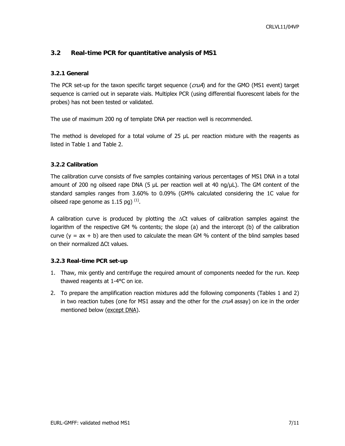# <span id="page-6-0"></span>**3.2 Real-time PCR for quantitative analysis of MS1**

## **3.2.1 General**

The PCR set-up for the taxon specific target sequence ( $cruA$ ) and for the GMO (MS1 event) target sequence is carried out in separate vials. Multiplex PCR (using differential fluorescent labels for the probes) has not been tested or validated.

The use of maximum 200 ng of template DNA per reaction well is recommended.

The method is developed for a total volume of 25 µL per reaction mixture with the reagents as listed in Table 1 and Table 2.

## **3.2.2 Calibration**

The calibration curve consists of five samples containing various percentages of MS1 DNA in a total amount of 200 ng oilseed rape DNA (5 μL per reaction well at 40 ng/μL). The GM content of the standard samples ranges from 3.60% to 0.09% (GM% calculated considering the 1C value for oilseed rape genome as  $1.15$  pg)  $^{(1)}$ .

A calibration curve is produced by plotting the ΔCt values of calibration samples against the logarithm of the respective GM % contents; the slope (a) and the intercept (b) of the calibration curve  $(y = ax + b)$  are then used to calculate the mean GM % content of the blind samples based on their normalized ∆Ct values.

#### **3.2.3 Real-time PCR set-up**

- 1. Thaw, mix gently and centrifuge the required amount of components needed for the run. Keep thawed reagents at 1-4°C on ice.
- 2. To prepare the amplification reaction mixtures add the following components (Tables 1 and 2) in two reaction tubes (one for MS1 assay and the other for the  $\alpha uA$  assay) on ice in the order mentioned below (except DNA).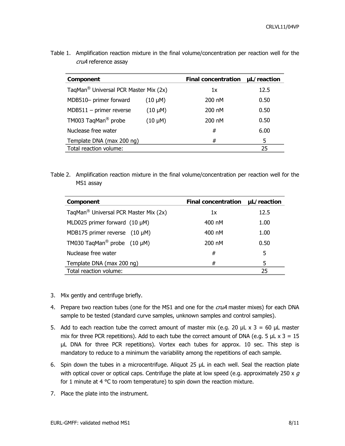| Component                                         |              | <b>Final concentration</b> | uL/reaction |
|---------------------------------------------------|--------------|----------------------------|-------------|
| TaqMan <sup>®</sup> Universal PCR Master Mix (2x) |              | 1x                         | 12.5        |
| MDB510- primer forward                            | $(10 \mu M)$ | 200 nM                     | 0.50        |
| $MDB511 - primer reverse$                         | $(10 \mu M)$ | 200 nM                     | 0.50        |
| TM003 TaqMan <sup>®</sup> probe                   | $(10 \mu M)$ | 200 nM                     | 0.50        |
| Nuclease free water                               |              | #                          | 6.00        |
| Template DNA (max 200 ng)                         |              | #                          | 5           |
| Total reaction volume:                            |              |                            | 25          |

Table 1. Amplification reaction mixture in the final volume/concentration per reaction well for the cruA reference assay

Table 2. Amplification reaction mixture in the final volume/concentration per reaction well for the MS1 assay

| Component                                         | <b>Final concentration</b> | µL/reaction |
|---------------------------------------------------|----------------------------|-------------|
| TaqMan <sup>®</sup> Universal PCR Master Mix (2x) | 1x                         | 12.5        |
| MLD025 primer forward $(10 \mu M)$                | 400 nM                     | 1.00        |
| MDB175 primer reverse $(10 \mu M)$                | 400 nM                     | 1.00        |
| TM030 TagMan <sup>®</sup> probe (10 µM)           | 200 nM                     | 0.50        |
| Nuclease free water                               | #                          | 5           |
| Template DNA (max 200 ng)                         | #                          | 5           |
| Total reaction volume:                            |                            | 25          |

- 3. Mix gently and centrifuge briefly.
- 4. Prepare two reaction tubes (one for the MS1 and one for the *cruA* master mixes) for each DNA sample to be tested (standard curve samples, unknown samples and control samples).
- 5. Add to each reaction tube the correct amount of master mix (e.g. 20  $\mu$ L x 3 = 60  $\mu$ L master mix for three PCR repetitions). Add to each tube the correct amount of DNA (e.g. 5  $\mu$ L x 3 = 15 µL DNA for three PCR repetitions). Vortex each tubes for approx. 10 sec. This step is mandatory to reduce to a minimum the variability among the repetitions of each sample.
- 6. Spin down the tubes in a microcentrifuge. Aliquot 25 µL in each well. Seal the reaction plate with optical cover or optical caps. Centrifuge the plate at low speed (e.g. approximately 250 x  $g$ for 1 minute at 4 °C to room temperature) to spin down the reaction mixture.
- 7. Place the plate into the instrument.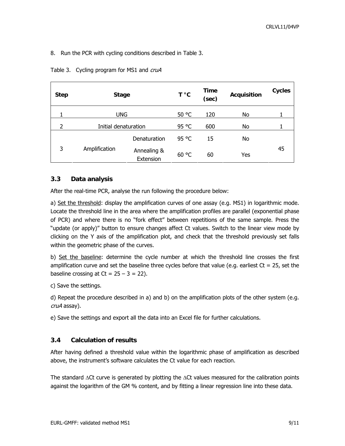<span id="page-8-0"></span>8. Run the PCR with cycling conditions described in Table 3.

| <b>Step</b> | <b>Stage</b>         |                          | T °C  | Time<br>(sec) | <b>Acquisition</b> | <b>Cycles</b> |
|-------------|----------------------|--------------------------|-------|---------------|--------------------|---------------|
|             | <b>UNG</b>           |                          | 50 °C | 120           | No                 |               |
| 2           | Initial denaturation |                          | 95 °C | 600           | No                 |               |
|             | Denaturation         | 95 °C                    | 15    | No            |                    |               |
| 3           | Amplification        | Annealing &<br>Extension | 60 °C | 60            | Yes                | 45            |

Table 3. Cycling program for MS1 and cruA

# **3.3 Data analysis**

After the real-time PCR, analyse the run following the procedure below:

a) Set the threshold: display the amplification curves of one assay (e.g. MS1) in logarithmic mode. Locate the threshold line in the area where the amplification profiles are parallel (exponential phase of PCR) and where there is no "fork effect" between repetitions of the same sample. Press the "update (or apply)" button to ensure changes affect Ct values. Switch to the linear view mode by clicking on the Y axis of the amplification plot, and check that the threshold previously set falls within the geometric phase of the curves.

b) Set the baseline: determine the cycle number at which the threshold line crosses the first amplification curve and set the baseline three cycles before that value (e.g. earliest  $Ct = 25$ , set the baseline crossing at  $Ct = 25 - 3 = 22$ ).

c) Save the settings.

d) Repeat the procedure described in a) and b) on the amplification plots of the other system (e.g. cruA assay).

e) Save the settings and export all the data into an Excel file for further calculations.

# **3.4 Calculation of results**

After having defined a threshold value within the logarithmic phase of amplification as described above, the instrument's software calculates the Ct value for each reaction.

The standard  $\Delta$ Ct curve is generated by plotting the  $\Delta$ Ct values measured for the calibration points against the logarithm of the GM % content, and by fitting a linear regression line into these data.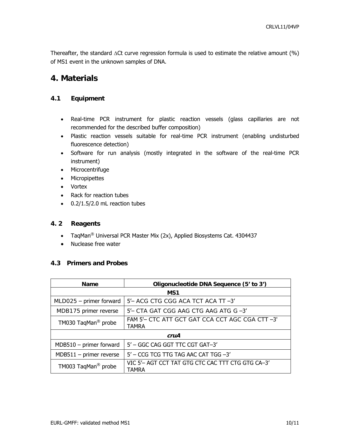<span id="page-9-0"></span>Thereafter, the standard ΔCt curve regression formula is used to estimate the relative amount (%) of MS1 event in the unknown samples of DNA.

# **4. Materials**

# **4.1 Equipment**

- Real-time PCR instrument for plastic reaction vessels (glass capillaries are not recommended for the described buffer composition)
- Plastic reaction vessels suitable for real-time PCR instrument (enabling undisturbed fluorescence detection)
- Software for run analysis (mostly integrated in the software of the real-time PCR instrument)
- Microcentrifuge
- Micropipettes
- Vortex
- Rack for reaction tubes
- 0.2/1.5/2.0 mL reaction tubes

#### **4. 2 Reagents**

- TaqMan<sup>®</sup> Universal PCR Master Mix (2x), Applied Biosystems Cat. 4304437
- Nuclease free water

# **4.3 Primers and Probes**

| <b>Name</b>                     | Oligonucleotide DNA Sequence (5' to 3')                           |  |
|---------------------------------|-------------------------------------------------------------------|--|
| MS1                             |                                                                   |  |
| $MLDO25 - primer forward$       | 5'- ACG CTG CGG ACA TCT ACA TT-3'                                 |  |
| MDB175 primer reverse           | $5'$ - CTA GAT CGG AAG CTG AAG ATG G $-3'$                        |  |
| TM030 TaqMan <sup>®</sup> probe | FAM 5'- CTC ATT GCT GAT CCA CCT AGC CGA CTT -3'<br><b>TAMRA</b>   |  |
| cruA                            |                                                                   |  |
| $MDB510 - primer forward$       | 5' - GGC CAG GGT TTC CGT GAT-3'                                   |  |
| $MDB511 - primer reverse$       | 5' - CCG TCG TTG TAG AAC CAT TGG -3'                              |  |
| TM003 TaqMan <sup>®</sup> probe | VIC 5'- AGT CCT TAT GTG CTC CAC TTT CTG GTG CA-3'<br><b>TAMRA</b> |  |